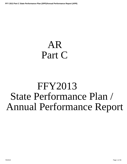# <span id="page-0-0"></span>AR Part C

# FFY2013 State Performance Plan / Annual Performance Report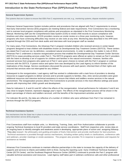## **Introduction to the State Performance Plan (SPP)/Annual Performance Report (APR)**

#### **General Supervision System:**

The systems that are in place to ensure that IDEA Part C requirements are met, e.g., monitoring systems, dispute resolution systems.

Arkansas General Supervision System includes policies and procedures that are aligned with Part C requirements to ensure that Early Intervention Service (EIS) programs are meeting federal and state requirements. First Connections has a monitoring unit to oversee local program compliance with policies and procedures as stipulated in the First Connections Monitoring Manual. Monitoring staff use the Comprehensive Data System (CDS) to review child records to assure compliance with timelines and other requirements. All EIS providers receive an onsite review on a three year monitoring cycle, however, programs who have continuing difficulties may receive on site visits at any time. Monitoring data described in the APR were acquired through the CDS and from desk audits and interviews with local program staff as needed.

For many years, First Connections, the Arkansas Part C program included children who received services in center based programs designed to treat children with disabilities known as Developmental Day Treatment Centers (DDTCS). These centers pre-dated Part H and are not, by definition, considered natural environments. In order to address this matter in July of 2013, Arkansas Part C underwent a massive reorganization process that enabled the Developmental Day Treatment Center Services (DDTCS) to cease providing services under Part C. The DDTCS programs were offered an option to remain as Part C providers with the intent to develop a set of supports for children and families in the natural environment. However, families who received services from programs who opted out of Part C were given choices to remain with the Part C program or continue services with the DDTCS. A parent notice and option form was developed by the Lead Agency to inform families of the implications of the change. Service coordinators discussed the process with each parent, informed them of their rights and ensured that services were not interrupted for any children.

Subsequent to the reorganization, Lead agency staff has worked in collaboration with a task force of providers to develop resources to support programs to deliver services and to provide supports to families. Also, clinic service providers were given additional resources and intensive technical assistance to ensure that infants and toddlers receive services in the natural environment. The reorganization process allows First Connections to provide services in the most effective settings and assist parents with improving their child's growth and development.

Data for Indicators 5, 6 and 8 b and 8C reflect the effects of the reorganization. Actual performance for indicators 5 and 6 are very close to targets however, represent slippage year's report. The effects of the reorganization process will be shown in the state's percentage of infants and toddlers serviced, until the benefits of the improvement activities are felt.

For indicator 8b and 8c, the data are reflective of a number of children who were withdrawn from Part C but remained in services through the DDTCS programs.

#### **Technical Assistance System:**

The mechanisms that the State has in place to ensure the timely delivery of high quality, evidenced based technical assistance and support to early intervention service (EIS) programs.

First Connections staff from multiple units, i.e. Monitoring, Training, Data, and Prior Authorization collaborate to provide ongoing Technical Assistance to local EI providers and state service coordinators. Staff from respective units review data on an ongoing basis to identify strengths and weakness assist in developing appropriate plans of action and assigning followup. . They also reseach the philosophy and guiding principles of Early Intervention and provide clarification for best practices. Technical assistance is provided through various mechanisms, including written policy briefs or clarifications, conference calls and webinars, provider meetings or onsite assistance. The program also provides TA in response to questions and requests for assistance as needed.

Arkansas First Connections continues to maintain effective partnerships in the state to increase the capacity of the delivery of supports and services to infants and toddlers birth to three. During the reporting cycle Early Childhood Technical Assistance Center (ECTA Center) and the Southeast Regional Resource Center (SERRC) continued to provide the Part C program with valuable technical assistance and resources. Lead Agency staff takes part in webinars conference calls and other professional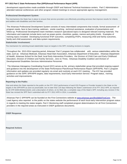<span id="page-2-0"></span>development opportunities made available through OSEP and National Technical Assistance centers. Part C Administrators attended national conferences and other program related meetings to ensure appropriate agency management.

#### **Professional Development System:**

The mechanisms the State has in place to ensure that service providers are effectively providing services that improve results for infants and toddlers with disabilities and their families.

The Arkansas Professional Development System consists of many interrelated components that include, formal assessment of program needs, face to face training, webinars, onsite coaching , technical assistance, evaluation of presentations and follow-up. Professional Development team members research specialized topics to designed relevant training materials. The information and materials include items such as power-points, checklists, guides, memos and policy briefs. Examples of training topics included: Developing functional IFSP outcomes, completing IFSPs, measuring child and family outcomes, family and child assessment, and data system requirements.

#### **Stakeholder Involvement:**

The mechanism for soliciting broad stakeholder input on targets in the SPP, including revisions to targets.

Throughout the 2013-2014 reporting period, Arkansas' Part C program has collaborated with various stakeholders within the state, such as: Arkansas Medicaid, Arkansas Head Start Association, Arkansas Department of Education, Arkansas Department of Health, Arkansas School for the Deaf, local Early Intervention Providers, the Division of Child Care and Early Childhood Education, Division of Children and Family Services , Zero to Three, Arkansas Disability Coalition and Division of Developmental Disabilities Services Administrative Personnel .

 The Arkansas Interagency Coordinating Council (ICC) serves as the primary stakeholder group that provided ongoing support and guidance into the development of the State Performance Plan/Annual Performance Report (SPP/APR). Part C program information and updates are provided regularly via email and routinely at each ICC meeting . The ICC has provided guidance on the SIPP, SPP/APR targets, data requirements, local Early Intervention Service Program status, training activities and improvements.

#### **Reporting to the Public:**

How and where the State reported to the public on the FFY 2012 performance of each EIS Program or Provider located in the State on the targets in the SPP/APR as soon as practicable, but no later than 120 days following the State's submission of its FFY 2012 APR, as required by 34 CFR §300.602(b)(1)(i)(A); and a description of where, on its Web site, a complete copy of the State's SPP, including any revision if the State has revised the SPP that it submitted with its FFY 2012 APR in 2014, is available.

Arkansas Part C SPP/APR can be founded on the First Connections website at www.arkansas.gov/dhs/ddds/FirstConn . The Lead Agency also reported to the public on the states website the performance of each local early intervention program status in regards to meeting the states targets. Part C Monitoring staff completed program determinations for all First Connections providers in the required areas as instructed in OSEP guidances documents.

#### **OSEP Response**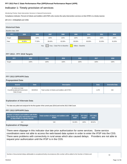## **Indicator 1: Timely provision of services**

Monitoring Priority: Early Intervention Services In Natural Environments

**Compliance indicator: Percent of infants and toddlers with IFSPs who receive the early intervention services on their IFSPs in a timely manner.**

#### **(20 U.S.C. 1416(a)(3)(A) and 1442)**

## **Historical Data**

#### Baseline Data: 2005

| <b>FFY</b> | 2005   | 2006   | 2007   | 2008                          | 2009              | 2010   | 2011   | 2012   |
|------------|--------|--------|--------|-------------------------------|-------------------|--------|--------|--------|
| Target     |        | 100%   | 100%   | 100%                          | 100%              | 100%   | 100%   | 100%   |
| Data       | 94.90% | 77.00% | 88.40% | 82.00%                        | 95.00%            | 90.00% | 91.00% | 91.00% |
|            |        | Key:   |        | Gray - Data Prior to Baseline | Yellow - Baseline |        |        |        |

#### **FFY 2013 - FFY 2018 Targets**

| FFY.   | 2013 | 2014 | 2015 | 2016 | 2017 | 2018 |
|--------|------|------|------|------|------|------|
| Target | 100% | 100% | 100% | 100% | 100% | 100% |

#### **FFY 2013 SPP/APR Data**

#### **Prepopulated Data**

| <b>Source</b>                                                    | <b>Date</b> | <b>Description</b>                              | <b>Data</b> | <b>Overwrite Data</b> |
|------------------------------------------------------------------|-------------|-------------------------------------------------|-------------|-----------------------|
| SY 2013-14 Child<br>Count/Educational Environment<br>Data Groups | 9/24/2014   | Total number of infants and toddlers with IFSPs | 1,378       | 540                   |

#### **Explanation of Alternate Data**

The data was pulled and analyzed for the first quarter of the current year (2014) and not the 2012 Child Count.

#### **FFY 2013 SPP/APR Data**

| Number of infants and toddlers with IFSPs<br>who receive the early intervention services<br>on their IFSPs in a timely manner | Total number of infants and toddlers with<br><b>IFSPs</b> | FFY 2012 FFY 2013<br>Data* | Target* | <b>FFY 2013</b><br><b>Data</b> |
|-------------------------------------------------------------------------------------------------------------------------------|-----------------------------------------------------------|----------------------------|---------|--------------------------------|
| 414                                                                                                                           | 540                                                       | 91.00%                     | 100%    | 88.52%                         |

### **Explanation of Slippage**

There were slippage in this indicator due late prior authorization for some services. Some service coordinators were not able to access the web-based data system in order to enter the IFSP into the CDS. There were problems with connectivity in rural areas which also caused delays. Providers are not able to request prior authorization until the IFSP is in the CDS.

Number of documented delays attributable to exceptional family circumstances (this number will be added to the Number of infants and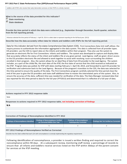toddlers with IFSPs who receive their early intervention services on their IFSPs in a timely manner) **What is the source of the data provided for this indicator? C** State monitoring *<u>State database</u>* **Provide the time period in which the data were collected (e.g., September through December, fourth quarter, selection from the full reporting period).**

Arkansas selected the time period of February 1- April 30, 2014 to collect date to represent reporting for the full fiscal year. (2013)

**Describe how the data accurately reflect data for infants and toddlers with IFSPs for the full reporting period.**

Data for this indicator derived from the states Comprehensive Data System (CDS). First Connections Data Unit staff utilizes the inquiry process to authenticate the information aggregated in the data system. This data is collected from all provider types. EIS providers use the CDS to report data on the infants and toddlers within their program. They also use the system to generate an electronic file for First Connections infants and toddlers. The system was developed to capture and display data that accurately reflects the status of the infant and toddlers file at any given period. Lead Agency staff are given direct access to the EIS providers electronic file and allowed to work together to assist with resolving issue surrounding the children enrolled in their program. Also, the system allows for an ideal flow of data from EIS provider to the Lead Agency. The system includes ,as a part of the childs file, the start date of the IFSP, the first date of service that the child received as indicated on the IFSP. Program data was pulled, for IFSP with dates starting February 1- April 30, 2014, and forwarded to each EIS provider for verification and submission back to the Lead Agency. Because of the program's transition to the CDS, the data was selected for this time period to ensure the quality of the data. The First Connections program carefully selected the time period close the end of the year to give the EIS providers and state staff additional time to master the interrelated parts of the system. Also, to ensure the accuracy of the data; sufficient time was needed for verification of the data. The Data Manager reviewed data that was reported for this time period to data for the full year (FFY2013) and determined that it is reflective of a full year of data.

#### **Actions required in FFY 2012 response table**

None

#### **Responses to actions required in FFY 2012 response table, not including correction of findings**

**N/A**

#### **Correction of Findings of Noncompliance Identified in FFY 2012**

| Findings of Noncompliance Identified | <b>Findings of Noncompliance Verified</b><br>as Corrected Within One Year | <b>Findings of Noncompliance</b><br>Subsequently Corrected | <b>Findings Not Yet Verified as Corrected</b> |  |
|--------------------------------------|---------------------------------------------------------------------------|------------------------------------------------------------|-----------------------------------------------|--|
|                                      |                                                                           |                                                            |                                               |  |

#### **FFY 2012 Findings of Noncompliance Verified as Corrected**

Describe how the State verified that each LEA with noncompliance is correctly implementing the regulatory requirements

Following identification of noncompliance, a provider is issued a written finding and required to correct the noncompliance within 90 days . At a subsequent review, monitoring staff review a percentage of records to ensure that all infants and toddlers receive services listed on the IFSP within 30days of the parent consent for services at the IFSP meeting.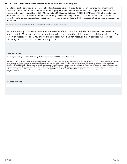<span id="page-5-0"></span>Monitoring staff also review a percentage of updated records from each provider to determine if providers are initiating services of subsequent infants and toddlers in the appropriate time manner. First Connection staff performed this process according to guidance provided in OSEP Memorandum 09-02, dated October 17, 2008 (OSEP Memo 09-02), the Lead Agency determined that each provider for whom data formerly showed noncompliance has corrected the noncompliance and is correctly implementing the regulatory requirement for infants and toddlers with IFSPs to receive their services in the required time frame.

Describe how the State verified that each LEA corrected each individual case of noncompliance

Part C monitoring staff reviewed individual records of each infant or toddler for whom services were not started within 30 days of parent consent for services to ensure that children were receiving services. The review of records for FFY 2012 showed that children who had not received timely services were indeed receiving the services on the IFSP although late.

#### **OSEP Response**

The State provided targets for FFYs 2013 through 2018 for this indicator, and OSEP accepts those targets.

Because the State reported less than 100% compliance for FFY 2013, the State must report on the status of correction of noncompliance identified in FFY 2013 for this indicator. When reporting on the correction of noncompliance, the State must report, in its FFY 2014 APR, that it has verified that each EIS program or provider with noncompliance identified in FFY 2013 for this indicator: (1) is correctly implementing the specific regulatory requirements (i.e., achieved 100% compliance) based on a review of updated data such as data subsequently collected through on-site monitoring or a State data system; and (2) has corrected each individual case of noncompliance, unless the child is no longer within the jurisdiction of the EIS program or provider, consistent with OSEP Memo 09-02. In the FFY 2014 APR, the State must describe the specific actions that were taken to verify the correction.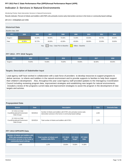## **Indicator 2: Services in Natural Environments**

Monitoring Priority: Early Intervention Services In Natural Environments

**Results indicator: Percent of infants and toddlers with IFSPs who primarily receive early intervention services in the home or community-based settings.**

#### **(20 U.S.C. 1416(a)(3)(A) and 1442)**

## **Historical Data**

#### Baseline Data: 2005

| <b>FFY</b>    | 2005   | 2006   | 2007   | 2008                          | 2009              | 2010   | 2011   | 2012   |
|---------------|--------|--------|--------|-------------------------------|-------------------|--------|--------|--------|
| Target $\geq$ |        | 64.00% | 68.00% | 70.00%                        | 72.00%            | 45.50% | 45.75% | 46.00% |
| Data          | 62.95% | 52.72% | 46.00% | 42.00%                        | 45.00%            | 38.00% | 32.00% | 33.00% |
|               |        | Key:   |        | Gray - Data Prior to Baseline | Yellow - Baseline |        |        |        |

#### **FFY 2013 - FFY 2018 Targets**

| FFY           | 2013   | 2014   | 2015   | 2016   | 2017   | 2018   |
|---------------|--------|--------|--------|--------|--------|--------|
| Target $\geq$ | 70.00% | 73.00% | 76.00% | 79.00% | 82.00% | 85.00% |

#### **Targets: Description of Stakeholder Input**

Lead agency staff have worked in collaboration with a task force of providers to develop resources to support programs to deliver services to infants and toddlers in the natural environment and to provide supports to families to help them support their children's development. Also, throughout the year Lead Agency staff provided updates to the Interagency Coordination Council including reviewing program data, improvement strategies and establishing new targets for natural environments. included a review of the programs current data and improvement strategies to assist the program in the development of new targets and activies.

#### **Prepopulated Data**

| <b>Source</b>                                                    | <b>Date</b> | <b>Description</b>                                                                                                                     | <b>Data</b> | <b>Overwrite Data</b> |
|------------------------------------------------------------------|-------------|----------------------------------------------------------------------------------------------------------------------------------------|-------------|-----------------------|
| SY 2013-14 Child<br>Count/Educational Environment<br>Data Groups | 9/24/2014   | Number of infants and toddlers with IFSPs who primarily receive early<br>intervention services in the home or community-based settings | 1.025       |                       |
| SY 2013-14 Child<br>Count/Educational Environment<br>Data Groups | 9/24/2014   | Total number of infants and toddlers with IFSPs                                                                                        | 1,378       |                       |

#### **FFY 2013 SPP/APR Data**

| Number of infants and toddlers with<br><b>IFSPs who primarily receive early</b><br>intervention services in the home or<br>community-based settings | Total number of infants and<br>toddlers with <b>IFSPs</b> | <b>FFY 2012</b><br>Data* | <b>FFY 2013</b><br>Target* | <b>FFY 2013</b><br><b>Data</b> |
|-----------------------------------------------------------------------------------------------------------------------------------------------------|-----------------------------------------------------------|--------------------------|----------------------------|--------------------------------|
| 1.025                                                                                                                                               | 1.378                                                     | 33.00%                   | 70.00%                     | 74.38%                         |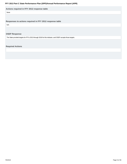#### <span id="page-7-0"></span>**Actions required in FFY 2012 response table**

None

#### **Responses to actions required in FFY 2012 response table**

N/A

#### **OSEP Response**

The State provided targets for FFYs 2013 through 2018 for this indicator, and OSEP accepts those targets.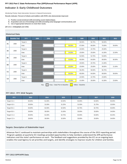## **Indicator 3: Early Childhood Outcomes**

Monitoring Priority: Early Intervention Services In Natural Environments

**Results indicator: Percent of infants and toddlers with IFSPs who demonstrate improved:**

- **A. Positive social-emotional skills (including social relationships);**
- **B. Acquisition and use of knowledge and skills (including early language/ communication); and**
- **C. Use of appropriate behaviors to meet their needs.**

#### **(20 U.S.C. 1416(a)(3)(A) and 1442)**

#### **Historical Data**

|                | <b>Baseline Year</b> | <b>FFY</b>    | 2005 | 2006                                    | 2007    | 2008                           | 2009                              | 2010   | 2011   | 2012   |
|----------------|----------------------|---------------|------|-----------------------------------------|---------|--------------------------------|-----------------------------------|--------|--------|--------|
|                |                      | Target $\geq$ |      |                                         |         |                                | 56.50%                            | 56.75% | 56.00% |        |
| A1             | 2008                 | Data          |      |                                         |         | 56.00%                         | 67.00%                            | 66.00% | 70.00% | 59.00% |
|                |                      | Target $\geq$ |      |                                         |         |                                | 24.50%                            | 24.75% | 25.00% |        |
| A2             | 2008                 | Data          |      |                                         |         | 24.00%                         | 23.00%                            | 25.00% | 41.00% | 22.00% |
|                |                      | Target $\geq$ |      |                                         |         |                                | 52.50%                            | 52.75% | 53.00% |        |
| <b>B1</b>      | 2008                 | Data          |      |                                         |         | 53.00%                         | 65.00%                            | 64.00% | 69.00% | 60.00% |
| <b>B2</b>      | 2008                 | Target $\geq$ |      |                                         |         |                                | 20.50%                            | 20.75% | 21.00% |        |
|                |                      | Data          |      |                                         |         | 20.00%                         | 23.00%                            | 25.00% | 39.00% | 21.00% |
| C <sub>1</sub> | 2008                 | Target $\geq$ |      |                                         |         |                                | 56.25%                            | 56.50% | 56.75% |        |
|                |                      | Data          |      |                                         |         | 56.00%                         | 65.00%                            | 64.00% | 69.00% | 58.00% |
| C <sub>2</sub> | 2008                 | Target $\geq$ |      |                                         |         |                                | 22.50%                            | 22.75% | 23.00% |        |
|                |                      | Data          |      |                                         |         | 22.00%                         | 21.00%                            | 26.00% | 41.00% | 23.00% |
|                |                      |               |      | and the state of the state of<br>$\sim$ | _______ | <b>The Committee Committee</b> | the company's company's company's |        |        |        |

Key: Gray – Data Prior to Baseline Yellow – Baseline

#### **FFY 2013 - FFY 2018 Targets**

| <b>FFY</b>       | 2013   | 2014   | 2015   | 2016   | 2017   | 2018   |
|------------------|--------|--------|--------|--------|--------|--------|
| Target A1 $\geq$ | 60.00% | 61.00% | 62.00% | 63.00% | 64.00% | 65.00% |
| Target $A2 \geq$ | 30.00% | 31.00% | 31.25% | 31.50% | 31.75% | 32.00% |
| Target B1 $\geq$ | 63.00% | 62.00% | 62.50% | 62.75% | 62.75% | 63.00% |
| Target B2 $\geq$ | 28.00% | 30.00% | 31.00% | 33.00% | 33.00% | 34.00% |
| Target C1 $\geq$ | 60.00% | 61.00% | 62.75% | 63.00% | 63.00% | 63.25% |
| Target $C2 \geq$ | 28.00% | 30.00% | 32.00% | 33.00% | 33.00% | 34.00% |

#### **Targets: Description of Stakeholder Input**

Arkansas Part C continued to maintain partnerships with stakeholders throughout the course of the 2013 reporting period. Program updates at quarterly ICC meetings provided opportunities to help members understand the APR performance indicators and the state's performance on each. The feedback and suggestions provided by the ICC on an ongoing basis enables the Lead Agency to set priorities and targets, and identify strategies to improve results for children and families.

#### **FFY 2013 SPP/APR Data**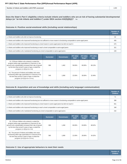| Mur<br>ssessed<br>" infants and<br><b>TONNI</b> | -- |
|-------------------------------------------------|----|

**Does the State's Part C eligibility criteria include infants and toddlers who are at risk of having substantial developmental delays (or "at-risk infants and toddlers") under IDEA section 632(5)(B)(i)?** No

#### **Outcome A: Positive social-emotional skills (including social relationships)**

|                                                                                                                                 | <b>Number of</b><br><b>Children</b> |
|---------------------------------------------------------------------------------------------------------------------------------|-------------------------------------|
| a. Infants and toddlers who did not improve functioning                                                                         | 60                                  |
| b. Infants and toddlers who improved functioning but not sufficient to move nearer to functioning comparable to same-aged peers | 406                                 |
| c. Infants and toddlers who improved functioning to a level nearer to same-aged peers but did not reach it                      | 675                                 |
| d. Infants and toddlers who improved functioning to reach a level comparable to same-aged peers                                 | 32 <sup>1</sup>                     |
| e. Infants and toddlers who maintained functioning at a level comparable to same-aged peers                                     |                                     |

|                                                                                                                                                                                                                                                        | <b>Numerator</b> | <b>Denominator</b> | <b>FFY 2012</b><br>Data* | <b>FFY 2013</b><br>Target* | <b>FFY 2013</b><br><b>Data</b> |
|--------------------------------------------------------------------------------------------------------------------------------------------------------------------------------------------------------------------------------------------------------|------------------|--------------------|--------------------------|----------------------------|--------------------------------|
| A1. Of those children who entered or exited the<br>program below age expectations in Outcome A, the<br>percent who substantially increased their rate of growth<br>by the time they turned 3 years of age or exited the<br>program $(c+d)/(a+b+c+d)$ . | 996              | 1.462              | 59.00%                   | 60.00%                     | 68.13%                         |
| A2. The percent of infants and toddlers who were<br>functioning within age expectations in Outcome A by<br>the time they turned 3 years of age or exited the<br>program $(d+e)/(a+b+c+d+e)$ .                                                          | 549              | 1.690              | 22.00%                   | 30.00%                     | 32.49%                         |

#### **Outcome B. Acquisition and use of knowledge and skills (including early language/ communication)**

|                                                                                                                                 | Number of<br><b>Children</b> |
|---------------------------------------------------------------------------------------------------------------------------------|------------------------------|
| a. Infants and toddlers who did not improve functioning                                                                         | 71                           |
| b. Infants and toddlers who improved functioning but not sufficient to move nearer to functioning comparable to same-aged peers | 388                          |
| c. Infants and toddlers who improved functioning to a level nearer to same-aged peers but did not reach it                      | 65'                          |
| d. Infants and toddlers who improved functioning to reach a level comparable to same-aged peers                                 | 348                          |
| e. Infants and toddlers who maintained functioning at a level comparable to same-aged peers                                     | 232                          |

|                                                                                                                                                                                                                                                        | <b>Numerator</b> | <b>Denominator</b> | <b>FFY 2012</b><br>Data* | <b>FFY 2013</b><br>Target* | <b>FFY 2013</b><br><b>Data</b> |
|--------------------------------------------------------------------------------------------------------------------------------------------------------------------------------------------------------------------------------------------------------|------------------|--------------------|--------------------------|----------------------------|--------------------------------|
| B1. Of those children who entered or exited the<br>program below age expectations in Outcome B, the<br>percent who substantially increased their rate of growth<br>by the time they turned 3 years of age or exited the<br>program $(c+d)/(a+b+c+d)$ . | 999              | 1.458              | 60.00%                   | 63.00%                     | 68.52%                         |
| B2. The percent of infants and toddlers who were<br>functioning within age expectations in Outcome B by<br>the time they turned 3 years of age or exited the<br>program (d+e)/(a+b+c+d+e).                                                             | 580              | 1.690              | 21.00%                   | 28.00%                     | 34.32%                         |

#### **Outcome C: Use of appropriate behaviors to meet their needs**

**Number of Children**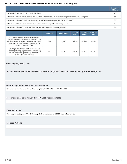<span id="page-10-0"></span>

|                                                                                                                                 | Number of<br><b>Children</b> |
|---------------------------------------------------------------------------------------------------------------------------------|------------------------------|
| a. Infants and toddlers who did not improve functioning                                                                         | 88                           |
| b. Infants and toddlers who improved functioning but not sufficient to move nearer to functioning comparable to same-aged peers | 401                          |
| c. Infants and toddlers who improved functioning to a level nearer to same-aged peers but did not reach it                      | 618                          |
| d. Infants and toddlers who improved functioning to reach a level comparable to same-aged peers                                 | 343                          |
| e. Infants and toddlers who maintained functioning at a level comparable to same-aged peers                                     | 240                          |

|                                                                                                                                                                                                                                                        | <b>Numerator</b> | <b>Denominator</b> | <b>FFY 2012</b><br>Data* | <b>FFY 2013</b><br>Target* | <b>FFY 2013</b><br><b>Data</b> |
|--------------------------------------------------------------------------------------------------------------------------------------------------------------------------------------------------------------------------------------------------------|------------------|--------------------|--------------------------|----------------------------|--------------------------------|
| C1. Of those children who entered or exited the<br>program below age expectations in Outcome C, the<br>percent who substantially increased their rate of growth<br>by the time they turned 3 years of age or exited the<br>program $(c+d)/(a+b+c+d)$ . | 961              | 1.450              | 58.00%                   | 60.00%                     | 66.28%                         |
| C2. The percent of infants and toddlers who were<br>functioning within age expectations in Outcome C by<br>the time they turned 3 years of age or exited the<br>program (d+e)/(a+b+c+d+e).                                                             | 583              | 1.690              | 23.00%                   | 28.00%                     | 34.50%                         |

#### **Was sampling used?** No

**Did you use the Early Childhood Outcomes Center (ECO) Child Outcomes Summary Form (COSF)?** Yes

#### **Actions required in FFY 2012 response table**

The State must report progress data and actual target data for FFY 2013 in the FFY 2013 APR.

#### **Responses to actions required in FFY 2012 response table**

#### **OSEP Response**

The State provided targets for FFYs 2013 through 2018 for this indicator, and OSEP accepts those targets.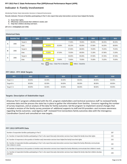## **Indicator 4: Family Involvement**

Monitoring Priority: Early Intervention Services In Natural Environments

**Results indicator: Percent of families participating in Part C who report that early intervention services have helped the family:**

- **A. Know their rights;**
- **B. Effectively communicate their children's needs; and**
- **C. Help their children develop and learn.**

#### **(20 U.S.C. 1416(a)(3)(A) and 1442)**

#### **Historical Data**

|   | <b>Baseline Year</b> | <b>FFY</b>    | 2005 | 2006                                | 2007   | 2008               | 2009   | 2010   | 2011   | 2012   |  |  |  |  |  |  |  |  |  |  |
|---|----------------------|---------------|------|-------------------------------------|--------|--------------------|--------|--------|--------|--------|--|--|--|--|--|--|--|--|--|--|
|   | 2006                 | Target $\geq$ |      |                                     |        | 77.00%             | 78.00% | 80.00% | 80.25% | 80.25% |  |  |  |  |  |  |  |  |  |  |
| A |                      | Data          |      | 59.00%                              | 62.00% | 65.10%             | 65.00% | 67.90% | 64.20% | 68.00% |  |  |  |  |  |  |  |  |  |  |
| в | 2006                 | Target $\geq$ |      |                                     |        | 67.00%             | 68.00% | 70.00% | 70.25% | 70.25% |  |  |  |  |  |  |  |  |  |  |
|   |                      | Data          |      | 70.00%                              | 67.50% | 70.30%             | 69.00% | 71.30% | 67.90% | 71.00% |  |  |  |  |  |  |  |  |  |  |
|   |                      | Target $\geq$ |      |                                     |        | 84.00%             | 85.00% | 87.00% | 87.25% | 87.25% |  |  |  |  |  |  |  |  |  |  |
| c | 2006                 | Data          |      | 71.00%                              | 70.80% | 72.80%             | 73.00% | 75.90% | 73.20% | 75.00% |  |  |  |  |  |  |  |  |  |  |
|   |                      |               |      | <u>and the second second second</u> |        | <u>a sa mga sa</u> |        |        |        |        |  |  |  |  |  |  |  |  |  |  |

Key:  $Gray - Data Prior to Baseline$  Yellow – Baseline

#### **FFY 2013 - FFY 2018 Targets**

| <b>FFY</b>      | 2013   | 2014   | 2015   | 2016   | 2017   | 2018   |
|-----------------|--------|--------|--------|--------|--------|--------|
| Target $A \geq$ | 80.00% | 82.00% | 84.00% | 86.00% | 88.00% | 90.00% |
| Target $B \geq$ | 80.00% | 82.00% | 84.00% | 86.00% | 88.00% | 90.00% |
| Target $C \geq$ | 80.00% | 82.00% | 84.00% | 86.00% | 88.00% | 90.00% |

#### **Targets: Description of Stakeholder Input**

Arkansas Part C program collaborated with the ICC, program stakeholders and technical assistance staff to reviewed family outcomes data and the process the state has in place to gather the information from families. Concerns regarding the number of survey responses, and an analysis of the data for family outcomes led the program to implement several changes that included a revision of the family survey, provision of additional supports to staff and EIS providers and increase awareness regarding family outcomes. Lead Agency staff reviewed First Connections family outcomes data with the Interagency Coordination Council and consulted on new targets.

#### **FFY 2013 SPP/APR Data**

| Number of respondent families participating in Part C                                                                                                                          | 287 |
|--------------------------------------------------------------------------------------------------------------------------------------------------------------------------------|-----|
| A1. Number of respondent families participating in Part C who report that early intervention services have helped the family know their rights                                 | 215 |
| A2. Number of responses to the question of whether early intervention services have helped the family know their rights                                                        | 215 |
| B1. Number of respondent families participating in Part C who report that early intervention services have helped the family effectively communicate<br>their children's needs | 232 |
| B2. Number of responses to the question of whether early intervention services have helped the family effectively communicate their children's needs                           | 232 |
| C1. Number of respondent families participating in Part C who report that early intervention services have helped the family help their children develop<br>and learn          | 229 |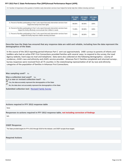<span id="page-12-0"></span>C2. Number of responses to the question of whether early intervention services have helped the family help their children develop and learn 229

|                                                                                                                                                                     | <b>FFY 2012</b><br>Data* | <b>FFY 2013</b><br>Target* | <b>FFY 2013</b><br><b>Data</b> |
|---------------------------------------------------------------------------------------------------------------------------------------------------------------------|--------------------------|----------------------------|--------------------------------|
| A. Percent of families participating in Part C who report that early intervention services have<br>helped the family know their rights                              | 68.00%                   | 80.00%                     | 100%                           |
| B. Percent of families participating in Part C who report that early intervention services have<br>helped the family effectively communicate their children's needs | 71.00%                   | 80.00%                     | 100%                           |
| C. Percent of families participating in Part C who report that early intervention services have<br>helped the family help their children develop and learn          | 75.00%                   | 80.00%                     | 100%                           |

**Describe how the State has ensured that any response data are valid and reliable, including how the data represent the demographics of the State.**

In the course of the 2013 reporting period Arkansas Part C sent out approximately 1400 surveys to parents of infants and toddlers who had an active IFSP. First Connections provided families with several ways to respond to the survey, the Lead Agency website, hard copy via mail and telephone. Data were also collected on the following demographics : county of residence, child's race and ethnicity and child's service provider. Arkansas Part C families completed and returned surveys . Survey responses were received from all 75 counties in the stateshowing representation of all by race and ethnicity categories of the population of families in Arkansas First Connections.

**Was sampling used?** No

**Was a collection tool used?** Yes

**Is it a new or revised collection tool?** Yes

**Yes, the data accurately represent the demographics of the State**

**No, the data does not accurately represent the demographics of the State**

**Submitted collection tool:** Revised Family Survey

#### **Actions required in FFY 2012 response table**

None

**Responses to actions required in FFY 2012 response table, not including correction of findings**

N/A

#### **OSEP Response**

The State provided targets for FFYs 2013 through 2018 for this indicator, and OSEP accepts those targets.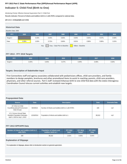## **Indicator 5: Child Find (Birth to One)**

Monitoring Priority: Effective General Supervision Part C / Child Find

**Results indicator: Percent of infants and toddlers birth to 1 with IFSPs compared to national data.**

#### **(20 U.S.C. 1416(a)(3)(B) and 1442)**

## **Historical Data**

#### Baseline Data: 2005

| <b>FFY</b>                                                 | 2005  | 2006  | 2007  | 2008  | 2009  | 2010  | 2011  | 2012  |  |
|------------------------------------------------------------|-------|-------|-------|-------|-------|-------|-------|-------|--|
| Target $\geq$                                              |       | 0.42% | 0.45% | 0.66% | 0.55% | 0.55% | 0.57% | 0.58% |  |
| Data                                                       | 0.39% | 1.02% | 0.72% | 0.66% | 0.61% | 0.96% | 0.85% | 1.01% |  |
| Key:<br>Gray - Data Prior to Baseline<br>Yellow - Baseline |       |       |       |       |       |       |       |       |  |

#### **FFY 2013 - FFY 2018 Targets**

| FFY                    | 2013 | 2014  | 2015  | 2016  | 2017  | 2018  |
|------------------------|------|-------|-------|-------|-------|-------|
| Target $\geq$<br>0.45% |      | 0.45% | 0.47% | 0.48% | 0.49% | 0.50% |

#### **Targets: Description of Stakeholder Input**

First Connections staff and agency associates collaborated with pediatricians offices, child care providers, and family members to design pamplets, brochures and other promotional items to assist in reaching parents, child care providers, physicians, and other referral sources. Part C staff reviewed Arkansas birth to one child find data with the states Interagency Coordination Council discuss current activities and establish new targets.

#### **Prepopulated Data**

| <b>Source</b>                                                                                     | <b>Date</b> | <b>Description</b>                                   | <b>Data</b> | <b>Overwrite Data</b> |
|---------------------------------------------------------------------------------------------------|-------------|------------------------------------------------------|-------------|-----------------------|
| SY 2013-14 Child<br>Count/Educational Environment<br>Data Groups                                  | 9/24/2014   | Number of infants and toddlers birth to 1 with IFSPs | 169         | null                  |
| U.S. Census Annual State<br><b>Resident Population Estimates</b><br>April 1, 2010 to July 1, 2013 | 12/16/2014  | Population of infants and toddlers birth to 1        |             | null                  |

#### **FFY 2013 SPP/APR Data**

| Number of infants and toddlers birth to 1 | <b>Population of infants and</b> | <b>FFY 2012</b> | <b>FFY 2013</b> | <b>FFY 2013</b> |
|-------------------------------------------|----------------------------------|-----------------|-----------------|-----------------|
| with IFSPs                                | toddlers birth to 1              | Data*           | Target*         | <b>Data</b>     |
| 169                                       | 38.310                           | $1.01\%$        | 0.45%           | $0.44\%$        |

#### **Explanation of Slippage**

For explanation of slippage, please refer to introduction section on general supervision.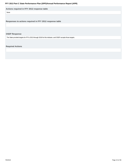<span id="page-14-0"></span>**Actions required in FFY 2012 response table**

None

**Responses to actions required in FFY 2012 response table**

#### **OSEP Response**

The State provided targets for FFYs 2013 through 2018 for this indicator, and OSEP accepts those targets.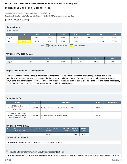## **Indicator 6: Child Find (Birth to Three)**

Monitoring Priority: Effective General Supervision Part C / Child Find

**Results indicator: Percent of infants and toddlers birth to 3 with IFSPs compared to national data.**

#### **(20 U.S.C. 1416(a)(3)(B) and 1442)**

## **Historical Data**

#### Baseline Data: 2005

| <b>FFY</b>    | 2005  | 2006  | 2007  | 2008                          | 2009              | 2010  | 2011  | 2012  |
|---------------|-------|-------|-------|-------------------------------|-------------------|-------|-------|-------|
| Target $\geq$ |       | 2.25% | 2.78% | 2.30%                         | 2.35%             | 2.37% | 2.37% | 2.37% |
| Data          | 2.25% | 2.75% | 2.34% | 2.33%                         | 2.19%             | 2.75% | 2.73% | 2.72% |
|               |       | Key:  |       | Gray - Data Prior to Baseline | Yellow - Baseline |       |       |       |

#### **FFY 2013 - FFY 2018 Targets**

| <b>FFY</b>    | 2013  | 2014 | 2015  | 2016 | 2017 | 2018  |
|---------------|-------|------|-------|------|------|-------|
| Target $\geq$ | i.20% | .30% | 1.40% | .50% | .80% | 1.90% |

#### **Targets: Description of Stakeholder Input**

First Connections staff and agency associates collaborated with pediatricians offices, child care providers, and family members to design pamplets, brochures and other promotional items to assist in reaching parents, child care providers, physicians, and other referral sources. Part C staff reviewed Arkansas birth to three child find data with the states Interagency Coordination Council discuss current activities and establish new targets.

#### **Prepopulated Data**

| <b>Source</b>                                                                                     | <b>Date</b> | <b>Description</b>                                   | <b>Data</b> | <b>Overwrite Data</b> |
|---------------------------------------------------------------------------------------------------|-------------|------------------------------------------------------|-------------|-----------------------|
| SY 2013-14 Child<br>Count/Educational Environment<br>Data Groups                                  | 9/24/2014   | Number of infants and toddlers birth to 3 with IFSPs | 1,378       |                       |
| U.S. Census Annual State<br><b>Resident Population Estimates</b><br>April 1, 2010 to July 1, 2013 | 12/16/2014  | Population of infants and toddlers birth to 3        | 115.847     |                       |

#### **FFY 2013 SPP/APR Data**

| <b>Number of infants and toddlers birth Population of infants and toddlers</b><br>l to 3 with IFSPs $^{\rm !}$ | birth to 3 | <b>FFY 2012 FFY 2013</b><br>Data* | Target* | <b>FFY 2013</b><br><b>Data</b> |
|----------------------------------------------------------------------------------------------------------------|------------|-----------------------------------|---------|--------------------------------|
| 1.378                                                                                                          | 115.847    | 2.72%                             | 1.20%   | 1.19%                          |

#### **Explanation of Slippage**

For explanation of slippage, please refer to introduction section on general supervision.

**Provide additional information about this indicator (optional)**

The numbers are lower due to our implementation of new reorganization that was implemented on July 1, 2013. This Reorganization includes providers who serve children in the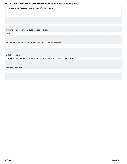<span id="page-16-0"></span>Developmental Day Treatement Centers opting out of First Connections.

**Actions required in FFY 2012 response table**

None

**Responses to actions required in FFY 2012 response table**

**OSEP Response**

The State provided targets for FFYs 2013 through 2018 for this indicator, and OSEP accepts those targets.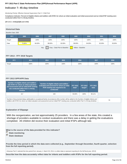## **Indicator 7: 45-day timeline**

Monitoring Priority: Effective General Supervision Part C / Child Find

**Compliance indicator: Percent of eligible infants and toddlers with IFSPs for whom an initial evaluation and initial assessment and an initial IFSP meeting were conducted within Part C's 45-day timeline.**

#### **(20 U.S.C. 1416(a)(3)(B) and 1442)**

#### **Historical Data**

Baseline Data: 2005

| <b>FFY</b> | 2005   | 2006   | 2007                     | 2008   | 2009   | 2010   | 2011   | 2012   |
|------------|--------|--------|--------------------------|--------|--------|--------|--------|--------|
| Target     |        | 100%   | 100%                     | 100%   | 100%   | 100%   | 100%   | 100%   |
| Data       | 75.80% | 84.00% | 88.00%                   | 82.00% | 99.00% | 94.00% | 92.00% | 93.00% |
|            |        |        | $\overline{\phantom{0}}$ |        |        |        |        |        |

Key: Gray – Data Prior to Baseline Yellow – Baseline

#### **FFY 2013 - FFY 2018 Targets**

| <b>FFY</b> | 2013 | 2014 | 2015 | 2016 | 2017 | 2018 |
|------------|------|------|------|------|------|------|
| Target     | 100% | 100% | 100% | 100% | 100% | 100% |

#### **FFY 2013 SPP/APR Data**

| Number of eligible infants and toddlers<br>with IFSPs for whom an initial evaluation<br>and assessment and an initial IFSP meeting<br>was conducted within Part C's 45-day<br>timeline | Number of eligible infants and toddlers<br>evaluated and assessed for whom an initial<br><b>IFSP meeting was required to be</b><br>conducted                                                                                                                                                  | <b>FFY 2012</b><br>Data* | <b>FFY 2013</b><br>Target* | <b>FFY 2013</b><br><b>Data</b> |
|----------------------------------------------------------------------------------------------------------------------------------------------------------------------------------------|-----------------------------------------------------------------------------------------------------------------------------------------------------------------------------------------------------------------------------------------------------------------------------------------------|--------------------------|----------------------------|--------------------------------|
| 317                                                                                                                                                                                    | 429                                                                                                                                                                                                                                                                                           | 93.00%                   | 100%                       | 88.11%                         |
|                                                                                                                                                                                        | Number of documented delays attributable to exceptional family circumstances (this number will be added to the Number of eligible infants and<br>toddlers with IFSPs for whom an initial evaluation and assessment and an initial IFSP meeting was conducted within Part C's 45-day timeline) |                          |                            |                                |

#### **Explanation of Slippage**

With the reorganization, we lost approximately 25 providers. In a few areas of the state, this created a shortage of providers available to conduct evaluations and there was a delay in getting the evaluations completed. All children did receive their evaluation and initial IFSPs although late.

**What is the source of the data provided for this indicator?**

- *<u>State monitoring</u>*
- *<u>State database</u>*

**Provide the time period in which the data were collected (e.g., September through December, fourth quarter, selection from the full reporting period).**

Arkansas Part C selected the time period from January 1- March 30, 2014, to collect data to represent reporting for the full fiscal year. (2013)

**Describe how the data accurately reflect data for infants and toddlers with IFSPs for the full reporting period.**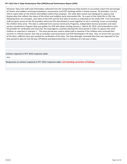Arkansas' Data Unit staff used information collected from the Comprehensive Data System to accurately report the percentage of infants and toddlers receiving evaluations, assessments and IFSP meetings within a timely manner. EIS providers use the CDS to report data on the infants and toddlers within their program. The state data system was designed to capture and display data that reflects the status of the infant and toddlers early intervention file. As a part of the childs file in CDS, the following items are included; start date of the IFSP and the first date of service as indicated on the childs IFSP. First Connection staff are given access to the EIS providers electronic file and allowed to work together to aid in resolving issues surrounding the children they serve. This data is collected from License Community Programs, Independent Service providers and state service coordinators Program data was pulled, for IFSP with dates starting January 1- March 30, 2014, and forwarded to each EIS provider for verification and returned .The Lead Agency carefully selected this time period in order to capture the same children as reported in Indicator 1. This time period was used to allow staff to examine if the children who received their services in a timely manner also had an evalution and assessment and IFSP developed in 45 days. Also, to ensure the accuracy of the data; sufficient time was needed for verification of the data. The Data Manager reviewed data that was reported for this time period to data for the full year (FFY2013) and determined that it is reflective of a full year of data.

**Actions required in FFY 2012 response table**

None

**Responses to actions required in FFY 2012 response table, not including correction of findings**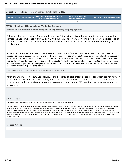#### <span id="page-19-0"></span>**Correction of Findings of Noncompliance Identified in FFY 2012**

| <b>Findings of Noncompliance Identified</b> | <b>Findings of Noncompliance Verified</b><br>as Corrected Within One Year | <b>Findings of Noncompliance</b><br><b>Subsequently Corrected</b> | Findings Not Yet Verified as Corrected |  |
|---------------------------------------------|---------------------------------------------------------------------------|-------------------------------------------------------------------|----------------------------------------|--|
|                                             |                                                                           |                                                                   |                                        |  |

#### **FFY 2012 Findings of Noncompliance Verified as Corrected**

Describe how the State verified that each LEA with noncompliance is correctly implementing the regulatory requirements

Following the identification of noncompliance, the EIS provider is issued a written finding and required to correct the noncompliance within 90 days . At a subsequent review, monitoring staff review a percentage of records to ensure that all infants and toddlers receive evaluations, assessments and IFSP meetings in a timely manner.

Arkansas monitoring staff also review a percentage of updated records from each provider to determine if providers are initiating services of subsequent infants and toddlers in the appropriate time. First Connection staff completed this process in accordance with the guidance provided in OSEP Memorandum 09-02, dated October 17, 2008 (OSEP Memo 09-02), the Lead Agency determined that each EIS provider for whom data formerly showed noncompliance has corrected the noncompliance and is correctly implementing the regulatory requirement for infants and toddlers receive evalutions, assessments and IFSP meetings within the required time frame.

Describe how the State verified that each LEA corrected each individual case of noncompliance

Part C monitoring staff examined individual child records of each infant or toddler for whom did not have an evaluation, assessment and IFSP meeting within 45 days. The review of records for FFY 2012 indicated that children who had not received evaluations ,assessments and timely IFSP meetings were indeed conducted, although late.

#### **OSEP Response**

The State provided targets for FFYs 2013 through 2018 for this indicator, and OSEP accepts those targets.

Because the State reported less than 100% compliance for FFY 2013, the State must report on the status of correction of noncompliance identified in FFY 2013 for this indicator. When reporting on the correction of noncompliance, the State must report, in its FFY 2014 APR, that it has verified that each EIS program or provider with noncompliance identified in FFY 2013 for this indicator: (1) is correctly implementing the specific regulatory requirements (i.e., achieved 100% compliance) based on a review of updated data such as data subsequently collected through on-site monitoring or a State data system; and (2) has corrected each individual case of noncompliance, unless the child is no longer within the jurisdiction of the EIS program or provider, consistent with OSEP Memo 09-02. In the FFY 2014 APR, the State must describe the specific actions that were taken to verify the correction.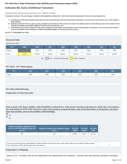## **Indicator 8A: Early Childhood Transition**

Monitoring Priority: Effective General Supervision Part C / Effective Transition

**Compliance indicator: The percentage of toddlers with disabilities exiting Part C with timely transition planning for whom the Lead Agency has:**

- **Developed an IFSP with transition steps and services at least 90 days, and at the discretion of all parties, not more than nine months, prior to the toddler's A. third birthday;**
- **Notified (consistent with any opt-out policy adopted by the State) the SEA and the LEA where the toddler resides at least 90 days prior to the toddler's third B. birthday for toddlers potentially eligible for Part B preschool services; and**
- C. Conducted the transition conference held with the approval of the family at least 90 days, and at the discretion of all parties, not more than nine months, **prior to the toddler's third birthday for toddlers potentially eligible for Part B preschool services.**

**(20 U.S.C. 1416(a)(3)(B) and 1442)**

#### **Historical Data**

Baseline Data: 2005

| <b>FFY</b> | 2005   | 2006   | 2007   | 2008                          | 2009              | 2010   | 2011   | 2012   |
|------------|--------|--------|--------|-------------------------------|-------------------|--------|--------|--------|
| Target     |        | 100%   | 100%   | 100%                          | 100%              | 100%   | 100%   | 100%   |
| Data       | 54.00% | 99.00% | 55.00% | 88.00%                        | 96.00%            | 91.00% | 90.00% | 96.00% |
|            |        | Key:   |        | Gray - Data Prior to Baseline | Yellow - Baseline |        |        |        |

#### **FFY 2013 - FFY 2018 Targets**

| <b>FFY</b> | 2013 | 2014 | 2015 | 2016 | 2017 | 2018 |
|------------|------|------|------|------|------|------|
| Target     | 100% | 100% | 100% | 100% | 100% | 100% |

#### **FFY 2013 SPP/APR Data**

#### **Explanation of Alternate Data**

**Data include only those toddlers with disabilities exiting Part C with timely transition planning for whom the Lead Agency has developed an IFSP with transition steps and services at least 90 days, and at the discretion of all parties, not more than nine months, prior to the toddler's third birthday.**



| Number of children exiting Part C who<br>have an IFSP with transition steps and<br>services | Number of toddlers with disabilities exiting<br><b>FFY 2012</b><br>Part C |        | <b>FFY 2013</b><br>Target* | <b>FFY 2013</b><br><b>Data</b> |
|---------------------------------------------------------------------------------------------|---------------------------------------------------------------------------|--------|----------------------------|--------------------------------|
| 378                                                                                         | 444                                                                       | 96.00% | 100%                       | 85.14%                         |

Number of documented delays attributable to exceptional family circumstances (this number will be added to the Number of children exiting Number of documented delays atmodiable to exceptional family circumstances (this number will be added to the Number of Children exting<br>Part C who have an IFSP with transition steps and services)

#### **Explanation of Slippage**

Some of our Providers still do not understand the requirements for transition. During visits and training, providers indicated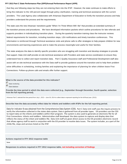that they are following steps but they are not entering them into the IFSP. However, the state continues to make efforts to bring this indicator to the 100 percent target through policy clarification, training and technical assistance with the current providers. The Lead Agency also collaborates with Arkansas Department of Education to fortify the transition process and help providers understand the process and the requirements.

The state uses the new Arkansas' transitions guide "When I'm Three Where Will I Be" that provides an extended summary of the transition process and procedures. We have developed information packets which outline procedures for late referrals and supports providers in individualizing transition plans. During the quarterly transition training class the instructor reviews federal requirements for transition, including transition steps, LEA notifications and timely transition conferences. This information is reinforced through Technical assistance visits and phone calls to offer strategies to help prepare children for new environments and learning experiences and to make the process meaningful and useful for their families.

The state analyzes the data to identify specific providers who are struggling with transition and develop strategies to provide that support. Data Unit staff provide on-site technical assistance with Providers and state service coordinators to ensure they understand how to collect and report transition data. Part C Quality Assurance staff and Professional Development staff also assist with on-site technical assistance with the Data staff to provide guidance around the transition and to help them problem solve difficulties in scheduling, inviting families and explaining the importance of planning for when children leave First Connections. Follow-up phone calls and emails offer further support.

**What is the source of the data provided for this indicator?**

State monitoring State database

**Provide the time period in which the data were collected (e.g., September through December, fourth quarter, selection from the full reporting period).**

Arkansas Part C selected the time period from July 1, 2013 – June 30, 2014 to collect data to represent reporting for the full fiscal year. (2013)

**Describe how the data accurately reflect data for infants and toddlers with IFSPs for the full reporting period.**

Data for indicator 8 was obtained from the Comprehensive Data System (CDS). Part C Data Unit staff uses the inquiry process to verify the information collected in the states data system. Data is gathered from all provider types. EIS providers use the CDS to report data on the infants and toddlers within their program. The system is also used to generate an electronic file for all First Connections infants and toddlers. Adminstrative staff developed the data system to capture and display data that reflects the status of the infant and toddlers file. Data Unit staff are given direct access to the EIS providers electronic record that allows agency staff to work in conjuction with the EIS provider to resolve data issues. The system includes, as a part of the childs file, steps and services listed on the IFSP.

#### **Actions required in FFY 2012 response table**

None

**Responses to actions required in FFY 2012 response table, not including correction of findings**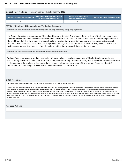#### <span id="page-22-0"></span>**Correction of Findings of Noncompliance Identified in FFY 2012**

| Findings of Noncompliance Identified | <b>Findings of Noncompliance Verified</b><br>as Corrected Within One Year | <b>Findings of Noncompliance</b><br><b>Subsequently Corrected</b> | <b>Findings Not Yet Verified as Corrected</b> |
|--------------------------------------|---------------------------------------------------------------------------|-------------------------------------------------------------------|-----------------------------------------------|
|                                      |                                                                           |                                                                   |                                               |

#### **FFY 2012 Findings of Noncompliance Verified as Corrected**

Describe how the State verified that each LEA with noncompliance is correctly implementing the regulatory requirements

First Connections Quality Assurance staff issued notification letters to EIS providers informing them of their non- compliance. The letter advised providers of their scores related to transition steps. Provider notification cited the federal regulations and informed them that they have to ensure that all children receive timely transition planning and that they must correct all noncompliance. Arkansas' procedures give the providers 90 days to correct identified noncompliance, however, correction must be made no later than one year from the date of notification to the early intervention provider.

Describe how the State verified that each LEA corrected each individual case of noncompliance

The Lead Agency's process of verifying correction of noncompliance, involved an analysis of files for toddlers who did not receive timely transition planning and were not in compliance with requirements to verify that the children received transition services (steps) although late, unless that child is no longer within the jurisdiction of the program. Administrative staff confirmed that all noncompliance was corrected within one year of notification.

#### **OSEP Response**

The State provided targets for FFYs 2013 through 2018 for this indicator, and OSEP accepts those targets.

Because the State reported less than 100% compliance for FFY 2013, the State must report on the status of correction of noncompliance identified in FFY 2013 for this indicator. When reporting on the correction of noncompliance, the State must report, in its FFY 2014 APR, that it has verified that each EIS program or provider with noncompliance identified in FFY 2013 for this indicator: (1) is correctly implementing the specific regulatory requirements (i.e., achieved 100% compliance) based on a review of updated data such as data subsequently collected through on-site monitoring or a State data system; and (2) has corrected each individual case of noncompliance, unless the child is no longer within the jurisdiction of the EIS program or provider, consistent with OSEP Memo 09-02. In the FFY 2014 APR, the State must describe the specific actions that were taken to verify the correction.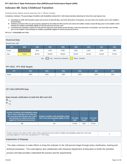## **Indicator 8B: Early Childhood Transition**

Monitoring Priority: Effective General Supervision Part C / Effective Transition

**Compliance indicator: The percentage of toddlers with disabilities exiting Part C with timely transition planning for whom the Lead Agency has:**

- **Developed an IFSP with transition steps and services at least 90 days, and at the discretion of all parties, not more than nine months, prior to the toddler's A. third birthday;**
- **Notified (consistent with any opt-out policy adopted by the State) the SEA and the LEA where the toddler resides at least 90 days prior to the toddler's third B. birthday for toddlers potentially eligible for Part B preschool services; and**
- C. Conducted the transition conference held with the approval of the family at least 90 days, and at the discretion of all parties, not more than nine months, **prior to the toddler's third birthday for toddlers potentially eligible for Part B preschool services.**

#### **(20 U.S.C. 1416(a)(3)(B) and 1442)**

#### **Historical Data**

Baseline Data: 2005

| <b>FFY</b>                                                 | 2005   | 2006   | 2007   | 2008   | 2009   | 2010   | 2011   | 2012   |
|------------------------------------------------------------|--------|--------|--------|--------|--------|--------|--------|--------|
| Target                                                     |        | 100%   | 100%   | 100%   | 100%   | 100%   | 100%   | 100%   |
| Data                                                       | 79.00% | 96.40% | 89.00% | 88.00% | 95.00% | 96.00% | 91.00% | 97.00% |
| Key:<br>Gray - Data Prior to Baseline<br>Yellow - Baseline |        |        |        |        |        |        |        |        |

**FFY 2013 - FFY 2018 Targets**

| FFY    | 2013 | 2014 | 2015 | 2016 | 2017 | 2018 |
|--------|------|------|------|------|------|------|
| Target | 100% | 100% | 100% | 100% | 100% | 100% |

#### **FFY 2013 SPP/APR Data**

#### **Data include notification to both the SEA and LEA**

| Yes |
|-----|
| ō   |

| Number of toddlers with disabilities exiting<br>Part C where notification to the SEA and<br>LEA occurred at least 90 days prior to their<br>third birthday for toddlers potentially<br>eligible for Part B preschool services | Number of toddlers with disabilities exiting<br>Part C who were potentially eligible for Part<br>в | <b>FFY 2012</b><br>Data* | <b>FFY 2013</b><br>Target* | <b>FFY 201</b><br><b>Data</b> |
|-------------------------------------------------------------------------------------------------------------------------------------------------------------------------------------------------------------------------------|----------------------------------------------------------------------------------------------------|--------------------------|----------------------------|-------------------------------|
| 389                                                                                                                                                                                                                           | 444                                                                                                | 97.00%                   | 100%                       | 87.61%                        |

Number of parents who opted out (this number will be subtracted from the number of toddlers with disabilities exiting Part C who were potentially eligible for Part B when calculating the FFY 2013 Data) of the number of toddiers with disabilities exiting r and c who were the computation of the District of the District of the District of the District of th

**FFY 2013 Data**

#### **Explanation of Slippage**

 The state continues to make efforts to bring this indicator to the 100 percent target through policy clarification, training and technical assistance. The Lead Agency also collaborates with Arkansas Department of Education to fortify the transition process and help providers understand the process and the requirements.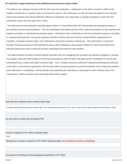The data for this indicator includes both the SEA and LEA notification. Notification to the SEA occurred in 100% of the toddlers exiting Part C, however when we include the data for LEA notification, we did not meet the target for the indicator. Since local programs are having difficulty making the notification, the state plans to change procedures so that the LEA notification comes from the state Part C office.

The state uses the new Arkansas' transitions guide "When I'm Three Where Will I Be" that provides an extended summary of the transition process and procedures. We have developed information packets which outline procedures for late referrals and supports providers in individualizing transition plans. Information about notification to the local education agency is included in required training events. During the quarterly transition training class the instructor reviews federal requirements for transition, including transition steps, LEA notifications and timely transition conferences. This information is reinforced through Technical assistance visits and phone calls to offer strategies to help prepare children for new environments and learning experiences and to make the process meaningful and useful for their families.

The state analyzes the data to identify specific providers who are struggling with transition and develop strategies to provide that support. Data Unit staff provide on-site technical assistance with Providers and state service coordinators to ensure they understand how to collect and report transition data. Part C Quality Assurance staff and Professional Development staff also assist with on-site technical assistance with the Data staff to provide guidance around the transition and to help them problem solve difficulties in scheduling, inviting families and explaining the importance of planning for when children leave First Connections. Follow-up phone calls and emails offer further support.

#### **Describe the method used to collect these data**

The state used the State Data System to collect this data. Part C selected the time period from July 1, 2013 to June 30, 2014 to reflect reporting for the full fiscal year. (2013)

**Do you have a written opt-out policy? No**

**Actions required in FFY 2012 response table**

None

**Responses to actions required in FFY 2012 response table, not including correction of findings**

**Correction of Findings of Noncompliance Identified in FFY 2012**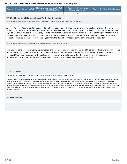<span id="page-25-0"></span>

| Findings of Noncompliance Identified | <b>Findings of Noncompliance Verified</b><br>as Corrected Within One Year | <b>Findings of Noncompliance</b><br><b>Subsequently Corrected</b> | <b>Findings Not Yet Verified as Corrected</b> |
|--------------------------------------|---------------------------------------------------------------------------|-------------------------------------------------------------------|-----------------------------------------------|
|                                      |                                                                           |                                                                   |                                               |

#### **FFY 2012 Findings of Noncompliance Verified as Corrected**

Describe how the State verified that each LEA with noncompliance is correctly implementing the regulatory requirements

Arkansas' Quality Assurance staff issued letters of notification to early intervention providers notifying them of their noncompliance. The letter informed providers of their scores related to SEA/LEA notifications. Provider notification cited the federal regulations and instruted them that they have to ensure that all children receive timely transition planning and that they must correct all noncompliance. Arkansas' procedures give the providers 90 days to correct identified noncompliance, however, correction must be made no later than one year from the date of notification to the early intervention provider.

#### Describe how the State verified that each LEA corrected each individual case of noncompliance

First Connections process of verifying correction of noncompliance, involved an analysis of files for toddlers who did not receive timely transition planning and were not in compliance with requirements to verify that the children received transition services ( SEA/LEA notification ) although late, unless that child is no longer within the jurisdiction of the program. Administrative staff confirmed that all noncompliance was corrected within one year of notification.

#### **OSEP Response**

The State provided targets for FFYs 2013 through 2018 for this indicator, and OSEP accepts those targets.

Because the State reported less than 100% compliance for FFY 2013, the State must report on the status of correction of noncompliance identified in FFY 2013 for this indicator. When reporting on the correction of noncompliance, the State must report, in its FFY 2014 APR, that it has verified that each EIS program or provider with noncompliance identified in FFY 2013 for this indicator: (1) is correctly implementing the specific regulatory requirements (i.e., achieved 100% compliance) based on a review of updated data such as data subsequently collected through on-site monitoring or a State data system; and (2) has corrected each individual case of noncompliance, unless the child is no longer within the jurisdiction of the EIS program or provider, consistent with OSEP Memo 09-02. In the FFY 2014 APR, the State must describe the specific actions that were taken to verify the correction.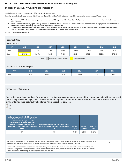## **Indicator 8C: Early Childhood Transition**

Monitoring Priority: Effective General Supervision Part C / Effective Transition

**Compliance indicator: The percentage of toddlers with disabilities exiting Part C with timely transition planning for whom the Lead Agency has:**

- **Developed an IFSP with transition steps and services at least 90 days, and at the discretion of all parties, not more than nine months, prior to the toddler's A. third birthday;**
- **Notified (consistent with any opt-out policy adopted by the State) the SEA and the LEA where the toddler resides at least 90 days prior to the toddler's third B. birthday for toddlers potentially eligible for Part B preschool services; and**
- C. Conducted the transition conference held with the approval of the family at least 90 days, and at the discretion of all parties, not more than nine months, **prior to the toddler's third birthday for toddlers potentially eligible for Part B preschool services.**

**(20 U.S.C. 1416(a)(3)(B) and 1442)**

#### **Historical Data**

Baseline Data: 2005

| <b>FFY</b>                                                 | 2005   | 2006   | 2007   | 2008   | 2009   | 2010   | 2011   | 2012   |
|------------------------------------------------------------|--------|--------|--------|--------|--------|--------|--------|--------|
| Target                                                     |        | 100%   | 100%   | 100%   | 100%   | 100%   | 100%   | 100%   |
| Data                                                       | 87.00% | 44.00% | 55.00% | 57.00% | 86.00% | 87.00% | 76.00% | 87.00% |
| Key:<br>Gray - Data Prior to Baseline<br>Yellow - Baseline |        |        |        |        |        |        |        |        |

| <b>FFY 2013 - FFY 2018 Targets</b> |  |  |  |
|------------------------------------|--|--|--|
|------------------------------------|--|--|--|

| FFY    | 2013 | 2014 | 2015 | 2016 | 2017 | 2018 |
|--------|------|------|------|------|------|------|
| Target | 100% | 100% | 100% | 100% | 100% | 100% |

#### **FFY 2013 SPP/APR Data**

**Data reflect only those toddlers for whom the Lead Agency has conducted the transition conference held with the approval of the family at least 90 days, and at the discretion of all parties, not more than nine months, prior to the toddler's third birthday for toddlers potentially eligible for Part B preschool services**



| Number of toddlers with disabilities exiting<br>Part C where the transition conference<br>occurred at least 90 days, and at the<br>discretion of all parties at least nine<br>months prior to the toddler's third<br>birthday for toddlers potentially eligible for<br>Part B | Number of toddlers with disabilities exiting<br>Part C who were potentially eligible for Part<br>в | <b>FFY 2012</b><br>Data* | <b>FFY 2013</b><br>Target* | <b>FFY 2013</b><br><b>Data</b> |
|-------------------------------------------------------------------------------------------------------------------------------------------------------------------------------------------------------------------------------------------------------------------------------|----------------------------------------------------------------------------------------------------|--------------------------|----------------------------|--------------------------------|
| 317                                                                                                                                                                                                                                                                           | 444                                                                                                | 87.00%                   | 100%                       | 86.28%                         |

| Number of toddlers for whom the parent did not provide approval for the transition conference (this number will be subtracted from the number<br>of toddlers with disabilities exiting Part C who were potentially eligible for Part B when calculating the FFY 2013 Data)                                                                                                        | 14 |
|-----------------------------------------------------------------------------------------------------------------------------------------------------------------------------------------------------------------------------------------------------------------------------------------------------------------------------------------------------------------------------------|----|
| Number of documented delays attributable to exceptional family circumstances (this number will be added to the Number of toddlers with<br>disabilities exiting Part C where the transition conference occurred at least 90 days, and at the discretion of all parties at least nine months<br>prior to the toddler's third birthday for toddlers potentially eligible for Part B) | 54 |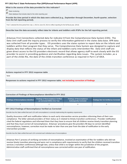**What is the source of the data provided for this indicator?**

- State monitoring
- State database that includes data for the entire reporting year

**Provide the time period in which the data were collected (e.g., September through December, fourth quarter, selection from the full reporting period).**

Part C selected the time period from July 1, 2013 to June 30, 2014 to reflect reporting for the full fiscal year. (2013)

**Describe how the data accurately reflect data for infants and toddlers with IFSPs for the full reporting period.**

Arkansas First Connections collected data for indicator 8 from the Comprehensive Data System (CDS). The Data Unit staff used the inquiry process to verify the information gathered in the states data base. APR data was collected from all provider types. EIS providers uses the states system to report data on the infants and toddlers within their program that they serve. The Comprehensive Data System was designed to capture and display data that reflects the status of the infant and toddlers early intervention file. Data Unit staff are given direct access to the EIS providers electronic record that allows agency staff to work closely with the EIS provider to assist in providing guidance and clarification regarding data issues. The system includes, as a part of the childs file, the date of the childs transition conference as required in Part C of IDEA.

#### **Actions required in FFY 2012 response table**

None

**Responses to actions required in FFY 2012 response table, not including correction of findings**

#### **Correction of Findings of Noncompliance Identified in FFY 2012**

| Findings of Noncompliance Identified | <b>Findings of Noncompliance Verified</b><br>as Corrected Within One Year | <b>Findings of Noncompliance</b><br>Subsequently Corrected | <b>Findings Not Yet Verified as Corrected</b> |  |
|--------------------------------------|---------------------------------------------------------------------------|------------------------------------------------------------|-----------------------------------------------|--|
|                                      |                                                                           |                                                            |                                               |  |

#### **FFY 2012 Findings of Noncompliance Verified as Corrected**

Describe how the State verified that each LEA with noncompliance is correctly implementing the regulatory requirements

Quality Assurance staff sent notification letters to each early intervention service providers informing them of their noncompliance. The letter advised providers of their status as it related to timely transition conferences. Provider notification cited the federal regulations and informed them that they have to ensure that all children receive timely transition planning and that they must correct all noncompliance. Arkansas' procedures give the providers 90 days to correct identified noncompliance, however, correction must be made no later than one year from the date of notification to the early intervention provider

Describe how the State verified that each LEA corrected each individual case of noncompliance

Arkansas Part C process of verifying correction of noncompliance, involved an examination of files for toddlers who did not receive timely transition planning and were not in compliance with requirements to verify that the children received transition services ( transition conference) although late, unless that child is no longer within the jurisdiction of the program. Administrative staff confirmed that all noncompliance was corrected within one year of notification.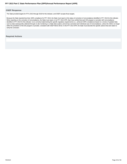#### <span id="page-28-0"></span>**OSEP Response**

The State provided targets for FFYs 2013 through 2018 for this indicator, and OSEP accepts those targets.

Because the State reported less than 100% compliance for FFY 2013, the State must report on the status of correction of noncompliance identified in FFY 2013 for this indicator. When reporting on the correction of noncompliance, the State must report, in its FFY 2014 APR, that it has verified that each EIS program or provider with noncompliance identified in FFY 2013 for this indicator: (1) is correctly implementing the specific regulatory requirements (i.e., achieved 100% compliance) based on a review of updated data such as data subsequently collected through on-site monitoring or a State data system; and (2) has corrected each individual case of noncompliance, unless the child is no longer within the jurisdiction of the EIS program or provider, consistent with OSEP Memo 09-02. In the FFY 2014 APR, the State must describe the specific actions that were taken to verify the correction.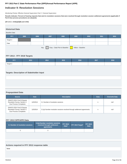## **Indicator 9: Resolution Sessions**

Monitoring Priority: Effective General Supervision Part C / General Supervision

**Results indicator: Percent of hearing requests that went to resolution sessions that were resolved through resolution session settlement agreements (applicable if Part B due process procedures are adopted).**

#### **(20 U.S.C. 1416(a)(3)(B) and 1442)**

### **Historical Data**

#### Baseline Data:

| <b>FFY</b>                                                 | 2005 | 2006 | 2007 | 2008 | 2009 | 2010 | 2011 | 2012 |
|------------------------------------------------------------|------|------|------|------|------|------|------|------|
| Target $\geq$                                              |      |      |      |      |      |      |      |      |
| Data                                                       |      |      |      |      |      |      |      |      |
| Gray - Data Prior to Baseline<br>Yellow - Baseline<br>Key: |      |      |      |      |      |      |      |      |

#### **FFY 2013 - FFY 2018 Targets**

| <b>FFY</b>    | 2013 | 2014 | 2015 | 2016 | 2017 | 2018 |
|---------------|------|------|------|------|------|------|
| Target $\geq$ |      |      |      |      |      |      |

#### **Targets: Description of Stakeholder Input**

#### **Prepopulated Data**

| <b>Source</b>                                                                               | <b>Date</b> | <b>Description</b>                                                       | <b>Data</b> | <b>Overwrite Data</b> |
|---------------------------------------------------------------------------------------------|-------------|--------------------------------------------------------------------------|-------------|-----------------------|
| <b>EMAPS IDEA Part B Dispute</b><br>Resolution Survey; Section C:<br>Due Process Complaints | 11/5/2014   | 3.1 Number of resolution sessions                                        | n           | null                  |
| <b>EMAPS IDEA Part B Dispute</b><br>Resolution Survey; Section C:<br>Due Process Complaints | 11/5/2014   | 3.1(a) Number resolution sessions resolved through settlement agreements |             | null                  |

#### **FFY 2013 SPP/APR Data**

| 3.1 Number of resolution sessions | 3.1(a) Number resolution sessions<br>resolved through settlement<br>agreements | <b>FFY 2012</b><br>Data* | FFY 2013 Target* | <b>FFY 2013</b><br><b>Data</b> |
|-----------------------------------|--------------------------------------------------------------------------------|--------------------------|------------------|--------------------------------|
|                                   |                                                                                |                          |                  |                                |

#### **Actions required in FFY 2012 response table**

None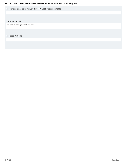<span id="page-30-0"></span>**Responses to actions required in FFY 2012 response table**

#### **OSEP Response**

This Indicator is not applicable for the State.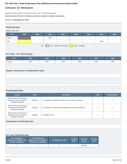## **Indicator 10: Mediation**

Monitoring Priority: Effective General Supervision Part C / General Supervision

**Results indicator: Percent of mediations held that resulted in mediation agreements.**

**(20 U.S.C. 1416(a)(3)(B) and 1442)**

| <b>Historical Data</b>                                     |      |      |      |      |      |      |      |      |
|------------------------------------------------------------|------|------|------|------|------|------|------|------|
| Baseline Data: 2005                                        |      |      |      |      |      |      |      |      |
| <b>FFY</b>                                                 | 2005 | 2006 | 2007 | 2008 | 2009 | 2010 | 2011 | 2012 |
| Target $\geq$                                              |      |      | 100% |      |      |      |      |      |
| Data                                                       |      |      |      |      |      |      | 100% |      |
| Gray - Data Prior to Baseline<br>Yellow - Baseline<br>Key: |      |      |      |      |      |      |      |      |

#### **FFY 2013 - FFY 2018 Targets**

| <b>crv</b>    | 2013 | 2014 | 2015 | 2016 | 2017 | 2018 |
|---------------|------|------|------|------|------|------|
| Target $\geq$ | 100% | 100% | 100% | 100% | 100% | 100% |

### **Targets: Description of Stakeholder Input**

**Prepopulated Data**

| <b>Source</b>                                                                                  | <b>Date</b> | <b>Description</b>                                                  | <b>Data</b> | <b>Overwrite Data</b> |
|------------------------------------------------------------------------------------------------|-------------|---------------------------------------------------------------------|-------------|-----------------------|
| <b>EMAPS IDEA Part B Dispute</b><br>Resolution Survey; Section B:<br><b>Mediation Requests</b> | 11/5/2014   | 2.1.a.i Mediations agreements related to due process complaints     | n           | n                     |
| <b>EMAPS IDEA Part B Dispute</b><br>Resolution Survey; Section B:<br><b>Mediation Requests</b> | 11/5/2014   | 2.1.b. iMediations agreements not related to due process complaints | n           | n                     |
| <b>EMAPS IDEA Part B Dispute</b><br>Resolution Survey; Section B:<br><b>Mediation Requests</b> | 11/5/2014   | 2.1 Mediations held                                                 | n           | n                     |

#### **Explanation of Alternate Data**

#### **FFY 2013 SPP/APR Data**

| 2.1.a.i Mediations<br>agreements related to due<br>process complaints | 2.1.b.i Mediations<br>agreements not related to<br>due process complaints |  | <b>FFY 2012</b><br>Data* | <b>FFY 2013</b><br>Target* | <b>FFY 2013</b><br><b>Data</b> |
|-----------------------------------------------------------------------|---------------------------------------------------------------------------|--|--------------------------|----------------------------|--------------------------------|
|                                                                       |                                                                           |  |                          | 100.00%                    |                                |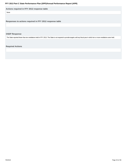<span id="page-32-0"></span>**Actions required in FFY 2012 response table**

None

**Responses to actions required in FFY 2012 response table**

#### **OSEP Response**

The State reported fewer than ten mediations held in FFY 2013. The State is not required to provide targets until any fiscal year in which ten or more mediations were held.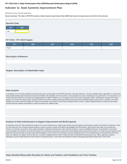## **Indicator 11: State Systemic Improvement Plan**

Monitoring Priority: General Supervision

**Results indicator: The State's SPP/APR includes a State Systemic Improvement Plan (SSIP) that meets the requirements set forth for this indicator.**



#### **FFY 2014 - FFY 2018 Targets**

| <b>FFY</b> | 2014 | 2015 | 2016 | 2017 | 2018 |
|------------|------|------|------|------|------|
| Target     |      |      |      |      |      |

#### **Description of Measure**

#### **Targets: Description of Stakeholder Input**

#### **Data Analysis**

A description of how the State identified and analyzed key data, including data from SPP/APR indicators, 618 data collections, and other available data as applicable, to: (1) select the State-identified Measurable Result(s) for Infants and Toddlers with Disabilities and their Families, and (2) identify root causes contributing to low performance. The description must include information about how the data were disaggregated by multiple variables (e.g., EIS program and/or EIS provider, geographic region, race/ethnicity, socioeconomic status, gender, etc.) As part of its data analysis, the State should also consider compliance data and whether those data present potential barriers to improvement. In addition, if the State identifies any concerns about the quality of the data, the description must include how the State will address these concerns. Finally, if additional data are needed, the description should include the methods and timelines to collect and analyze the additional data.

#### **Analysis of State Infrastructure to Support Improvement and Build Capacity**

A description of how the State analyzed the capacity of its current infrastructure to support improvement and build capacity in EIS programs and/or EIS providers to implement, scale up, and sustain the use of evidence-based practices to improve results for infants and toddlers with disabilities and their families. State systems that make up its infrastructure include, at a minimum: governance, fiscal, quality standards, professional development, data, technical assistance, and accountability/monitoring. The description must include current strengths of the systems, the extent the systems are coordinated, and areas for improvement of functioning within and across the systems. The State must also identify current State-level improvement plans and other early learning initiatives, such as Race to the Top-Early Learning Challenge and the Home Visiting program and describe the extent that these new initiatives are aligned, and how they are, or could be, integrated with, the SSIP. Finally, the State should identify representatives (e.g., offices, agencies, positions, individuals, and other stakeholders) that were involved in developing Phase I of the SSIP and that will be involved in developing and implementing Phase II of the SSIP.

**State-identified Measurable Result(s) for Infants and Toddlers with Disabilities and Their Families**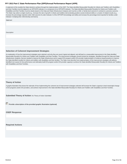<span id="page-34-0"></span>A statement of the result(s) the State intends to achieve through the implementation of the SSIP. The State-identified Measurable Result(s) for Infants and Toddlers with Disabilities and their Families must be aligned to an SPP/APR indicator or a component of an SPP/APR indicator. The State-identified Measurable Result(s) for Infants and Toddlers with Disabilities and their Families must be clearly based on the Data and State Infrastructure Analyses and must be a child- or family-level outcome in contrast to a process outcome. The State may select a single result (e.g., increase the rate of growth in infants and toddlers demonstrating positive social-emotional skills) or a cluster of related results (e.g., increase the percentage reported under child outcome B under Indicator 3 of the SPP/APR (knowledge and skills) and increase the percentage trend reported for families under Indicator 4 (helping their child develop and learn)).

#### **Statement**

**Description** 

#### **Selection of Coherent Improvement Strategies**

An explanation of how the improvement strategies were selected, and why they are sound, logical and aligned, and will lead to a measurable improvement in the State-identified Measurable Result(s) for Infants and Toddlers with Disabilities and their Families. The improvement strategies should include the strategies, identified through the Data and State Infrastructure Analyses, that are needed to improve the State infrastructure and to support EIS program and/or EIS provider implementation of evidence-based practices to improve the State-identified result(s) for infants and toddlers with disabilities and their families. The State must describe how implementation of the improvement strategies will address identified root causes for low performance and ultimately build EIS program and/or EIS provider capacity to achieve the State-identified Measurable Result(s) for Infants and Toddlers with Disabilities and their Families.

#### **Theory of Action**

A graphic illustration that shows the rationale of how implementing the coherent set of improvement strategies selected will increase the State's capacity to lead meaningful change in EIS programs and/or EIS providers, and achieve improvement in the State-identified Measurable Result(s) for Infants and Toddlers with Disabilities and their Families.

**Submitted Theory of Action: No Theory of Action Submitted** 

**Provide a description of the provided graphic illustration (optional)** 

#### **OSEP Response**